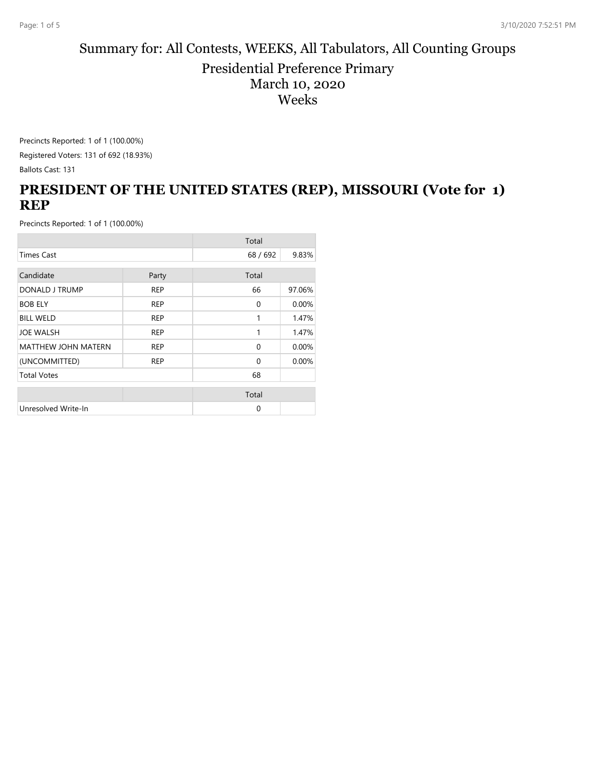#### Summary for: All Contests, WEEKS, All Tabulators, All Counting Groups Presidential Preference Primary March 10, 2020 Weeks

Precincts Reported: 1 of 1 (100.00%)

Registered Voters: 131 of 692 (18.93%) Ballots Cast: 131

# **PRESIDENT OF THE UNITED STATES (REP), MISSOURI (Vote for 1) REP**

|                            |            | Total        |        |
|----------------------------|------------|--------------|--------|
| <b>Times Cast</b>          |            | 68/692       | 9.83%  |
| Candidate                  | Party      | Total        |        |
| DONALD J TRUMP             | <b>REP</b> | 66           | 97.06% |
| <b>BOB ELY</b>             | <b>REP</b> | $\mathbf{0}$ | 0.00%  |
| <b>BILL WELD</b>           | <b>REP</b> | 1            | 1.47%  |
| <b>JOE WALSH</b>           | <b>REP</b> | 1            | 1.47%  |
| <b>MATTHEW JOHN MATERN</b> | <b>REP</b> | 0            | 0.00%  |
| (UNCOMMITTED)              | <b>REP</b> | $\Omega$     | 0.00%  |
| <b>Total Votes</b>         |            | 68           |        |
|                            |            | Total        |        |
| Unresolved Write-In        |            | 0            |        |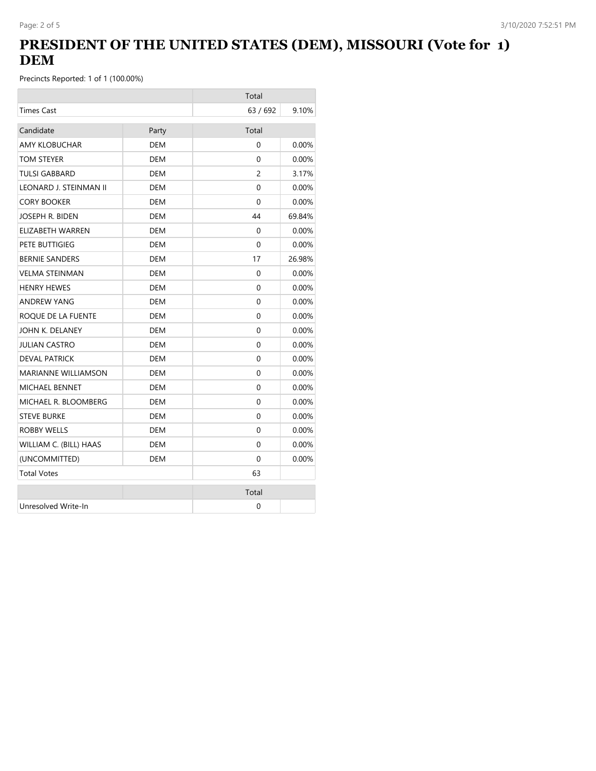## **PRESIDENT OF THE UNITED STATES (DEM), MISSOURI (Vote for 1) DEM**

|                            |            | Total          |          |
|----------------------------|------------|----------------|----------|
| <b>Times Cast</b>          |            | 63 / 692       | 9.10%    |
| Candidate                  | Party      | Total          |          |
| <b>AMY KLOBUCHAR</b>       | <b>DEM</b> | $\Omega$       | 0.00%    |
| TOM STEYER                 | <b>DEM</b> | $\Omega$       | 0.00%    |
| <b>TULSI GABBARD</b>       | <b>DEM</b> | $\overline{c}$ | 3.17%    |
| LEONARD J. STEINMAN II     | DEM        | $\Omega$       | $0.00\%$ |
| <b>CORY BOOKER</b>         | <b>DEM</b> | $\Omega$       | 0.00%    |
| JOSEPH R. BIDEN            | <b>DEM</b> | 44             | 69.84%   |
| ELIZABETH WARREN           | DEM        | 0              | $0.00\%$ |
| PETE BUTTIGIEG             | <b>DEM</b> | $\Omega$       | $0.00\%$ |
| <b>BERNIE SANDERS</b>      | DEM        | 17             | 26.98%   |
| <b>VELMA STEINMAN</b>      | <b>DEM</b> | 0              | 0.00%    |
| <b>HENRY HEWES</b>         | DEM        | $\Omega$       | $0.00\%$ |
| <b>ANDREW YANG</b>         | DEM        | 0              | 0.00%    |
| ROQUE DE LA FUENTE         | DEM        | 0              | $0.00\%$ |
| JOHN K. DELANEY            | <b>DEM</b> | 0              | 0.00%    |
| <b>JULIAN CASTRO</b>       | <b>DEM</b> | $\Omega$       | $0.00\%$ |
| <b>DEVAL PATRICK</b>       | <b>DEM</b> | $\Omega$       | 0.00%    |
| <b>MARIANNE WILLIAMSON</b> | <b>DEM</b> | $\Omega$       | 0.00%    |
| <b>MICHAEL BENNET</b>      | DEM        | $\Omega$       | $0.00\%$ |
| MICHAEL R. BLOOMBERG       | DEM        | 0              | $0.00\%$ |
| <b>STEVE BURKE</b>         | DEM        | $\Omega$       | $0.00\%$ |
| <b>ROBBY WELLS</b>         | <b>DEM</b> | 0              | 0.00%    |
| WILLIAM C. (BILL) HAAS     | <b>DEM</b> | $\Omega$       | $0.00\%$ |
| (UNCOMMITTED)              | <b>DEM</b> | $\Omega$       | 0.00%    |
| <b>Total Votes</b>         |            | 63             |          |
|                            |            | Total          |          |
| Unresolved Write-In        |            | 0              |          |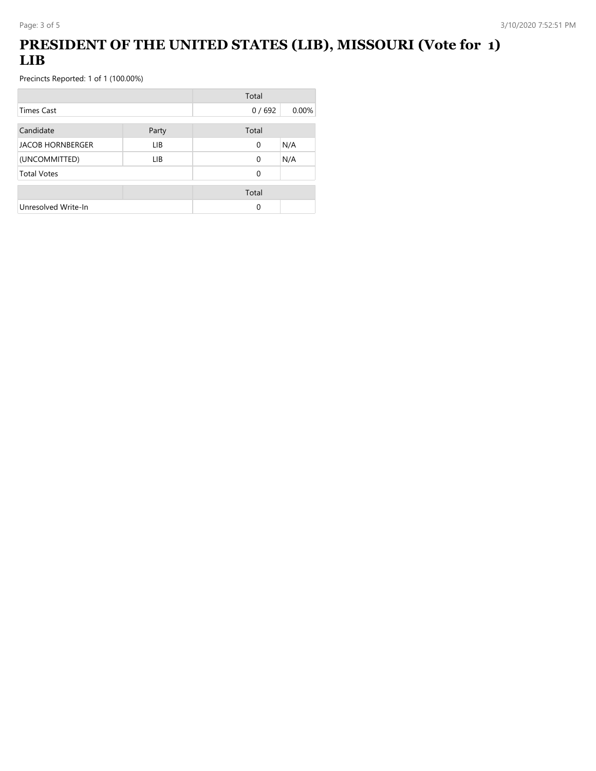## **PRESIDENT OF THE UNITED STATES (LIB), MISSOURI (Vote for 1) LIB**

|                         |       | Total    |       |
|-------------------------|-------|----------|-------|
| <b>Times Cast</b>       |       | 0/692    | 0.00% |
| Candidate               | Party | Total    |       |
| <b>JACOB HORNBERGER</b> | LIB.  | 0        | N/A   |
| (UNCOMMITTED)           | LIB   | $\Omega$ | N/A   |
| <b>Total Votes</b>      |       | 0        |       |
|                         |       | Total    |       |
| Unresolved Write-In     |       | 0        |       |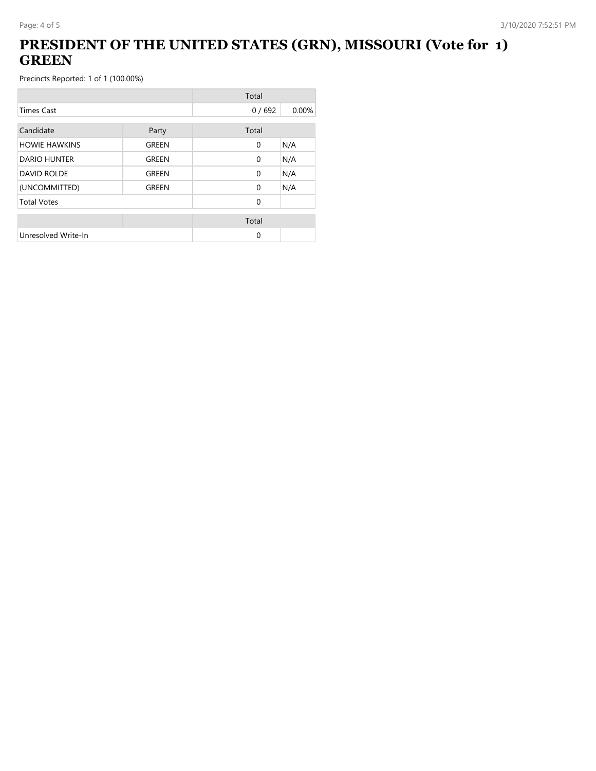## **PRESIDENT OF THE UNITED STATES (GRN), MISSOURI (Vote for 1) GREEN**

|                      |       | Total        |       |
|----------------------|-------|--------------|-------|
| <b>Times Cast</b>    |       | 0/692        | 0.00% |
| Candidate            | Party | Total        |       |
| <b>HOWIE HAWKINS</b> | GREEN | $\mathbf{0}$ | N/A   |
| DARIO HUNTER         | GREEN | $\Omega$     | N/A   |
| <b>DAVID ROLDE</b>   | GREEN | $\mathbf{0}$ | N/A   |
| (UNCOMMITTED)        | GREEN | $\Omega$     | N/A   |
| <b>Total Votes</b>   |       | $\Omega$     |       |
|                      |       | Total        |       |
| Unresolved Write-In  |       | 0            |       |